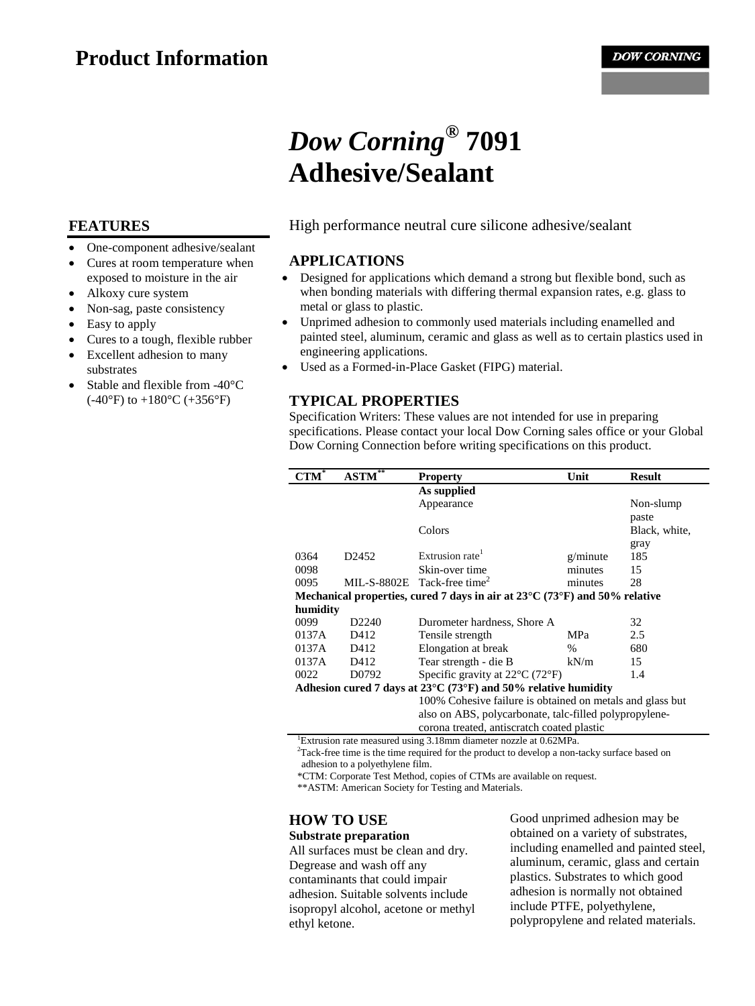## **Product Information**

# *Dow Corning***® 7091 Adhesive/Sealant**

## **FEATURES**

- One-component adhesive/sealant
- Cures at room temperature when exposed to moisture in the air
- Alkoxy cure system
- Non-sag, paste consistency
- Easy to apply
- Cures to a tough, flexible rubber
- Excellent adhesion to many substrates
- Stable and flexible from -40°C  $(-40^{\circ}F)$  to  $+180^{\circ}C$  ( $+356^{\circ}F$ )

#### High performance neutral cure silicone adhesive/sealant

#### **APPLICATIONS**

- Designed for applications which demand a strong but flexible bond, such as when bonding materials with differing thermal expansion rates, e.g. glass to metal or glass to plastic.
- Unprimed adhesion to commonly used materials including enamelled and painted steel, aluminum, ceramic and glass as well as to certain plastics used in engineering applications.
- Used as a Formed-in-Place Gasket (FIPG) material.

## **TYPICAL PROPERTIES**

Specification Writers: These values are not intended for use in preparing specifications. Please contact your local Dow Corning sales office or your Global Dow Corning Connection before writing specifications on this product.

|                                                                                                 | ×<br><b>ASTM</b>  | <b>Property</b>                                           | Unit     | <b>Result</b> |
|-------------------------------------------------------------------------------------------------|-------------------|-----------------------------------------------------------|----------|---------------|
|                                                                                                 |                   | As supplied                                               |          |               |
|                                                                                                 |                   | Appearance                                                |          | Non-slump     |
|                                                                                                 |                   |                                                           |          | paste         |
|                                                                                                 |                   | Colors                                                    |          | Black, white, |
|                                                                                                 |                   |                                                           |          | gray          |
| 0364                                                                                            | D <sub>2452</sub> | Extrusion rate                                            | g/minute | 185           |
| 0098                                                                                            |                   | Skin-over time                                            | minutes  | 15            |
| 0095                                                                                            |                   | MIL-S-8802E Tack-free time <sup>2</sup>                   | minutes  | 28            |
| Mechanical properties, cured 7 days in air at $23^{\circ}$ C (73 $^{\circ}$ F) and 50% relative |                   |                                                           |          |               |
| humidity                                                                                        |                   |                                                           |          |               |
| 0099                                                                                            | D <sub>2240</sub> | Durometer hardness, Shore A                               |          | 32            |
| 0137A                                                                                           | D412              | Tensile strength                                          | MPa      | 2.5           |
| 0137A                                                                                           | D412              | Elongation at break                                       | $\%$     | 680           |
| 0137A                                                                                           | D412              | Tear strength - die B                                     | kN/m     | 15            |
| 0022                                                                                            | D0792             | Specific gravity at $22^{\circ}$ C (72 $^{\circ}$ F)      |          | 1.4           |
| Adhesion cured 7 days at $23^{\circ}$ C (73°F) and 50% relative humidity                        |                   |                                                           |          |               |
|                                                                                                 |                   | 100% Cohesive failure is obtained on metals and glass but |          |               |
|                                                                                                 |                   | also on ABS, polycarbonate, talc-filled polypropylene-    |          |               |
|                                                                                                 |                   | corona treated, antiscratch coated plastic                |          |               |

1 Extrusion rate measured using 3.18mm diameter nozzle at 0.62MPa.

<sup>2</sup>Tack-free time is the time required for the product to develop a non-tacky surface based on adhesion to a polyethylene film.

\*CTM: Corporate Test Method, copies of CTMs are available on request.

\*\*ASTM: American Society for Testing and Materials.

## **HOW TO USE**

#### **Substrate preparation**

All surfaces must be clean and dry. Degrease and wash off any contaminants that could impair adhesion. Suitable solvents include isopropyl alcohol, acetone or methyl ethyl ketone.

Good unprimed adhesion may be obtained on a variety of substrates, including enamelled and painted steel, aluminum, ceramic, glass and certain plastics. Substrates to which good adhesion is normally not obtained include PTFE, polyethylene, polypropylene and related materials.